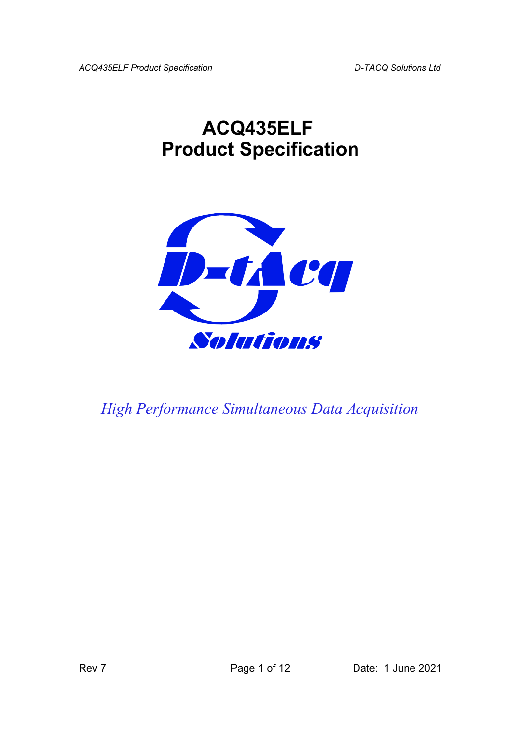*ACQ435ELF Product Specification D-TACQ Solutions Ltd*

# **ACQ435ELF Product Specification**



*High Performance Simultaneous Data Acquisition*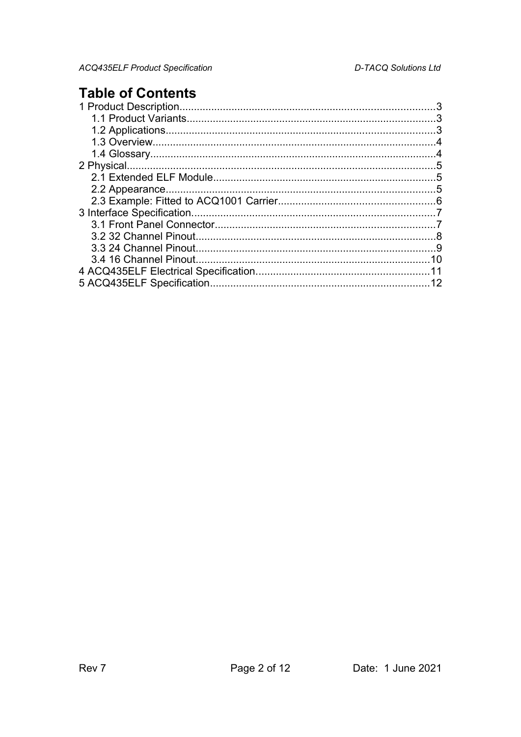### **Table of Contents**

|                            | 3  |
|----------------------------|----|
|                            | 3  |
|                            |    |
|                            |    |
|                            | 5  |
|                            | .5 |
|                            |    |
|                            |    |
|                            |    |
|                            |    |
|                            | .8 |
| - 9                        |    |
|                            | 10 |
|                            |    |
| 5 ACQ435ELF Specification. |    |
|                            |    |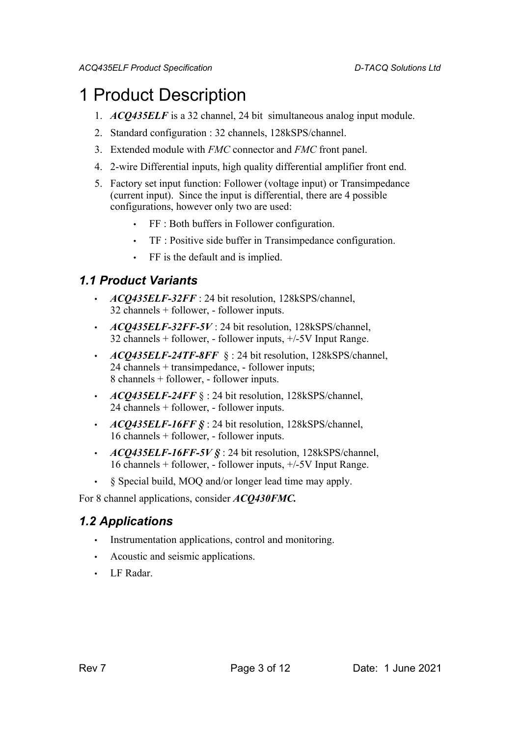### 1 Product Description

- 1. *ACQ435ELF* is a 32 channel, 24 bit simultaneous analog input module.
- 2. Standard configuration : 32 channels, 128kSPS/channel.
- 3. Extended module with *FMC* connector and *FMC* front panel.
- 4. 2-wire Differential inputs, high quality differential amplifier front end.
- 5. Factory set input function: Follower (voltage input) or Transimpedance (current input). Since the input is differential, there are 4 possible configurations, however only two are used:
	- FF : Both buffers in Follower configuration.
	- TF : Positive side buffer in Transimpedance configuration.
	- FF is the default and is implied.

#### *1.1 Product Variants*

- *ACQ435ELF-32FF* : 24 bit resolution, 128kSPS/channel, 32 channels + follower, - follower inputs.
- *ACQ435ELF-32FF-5V* : 24 bit resolution, 128kSPS/channel, 32 channels + follower, - follower inputs, +/-5V Input Range.
- *ACQ435ELF-24TF-8FF* § : 24 bit resolution, 128kSPS/channel, 24 channels + transimpedance, - follower inputs; 8 channels + follower, - follower inputs.
- *ACQ435ELF-24FF* § : 24 bit resolution, 128kSPS/channel, 24 channels + follower, - follower inputs.
- *ACQ435ELF-16FF §* : 24 bit resolution, 128kSPS/channel, 16 channels + follower, - follower inputs.
- *ACQ435ELF-16FF-5V §* : 24 bit resolution, 128kSPS/channel, 16 channels + follower, - follower inputs, +/-5V Input Range.
- § Special build, MOQ and/or longer lead time may apply.

For 8 channel applications, consider *ACQ430FMC.*

#### *1.2 Applications*

- Instrumentation applications, control and monitoring.
- Acoustic and seismic applications.
- LF Radar.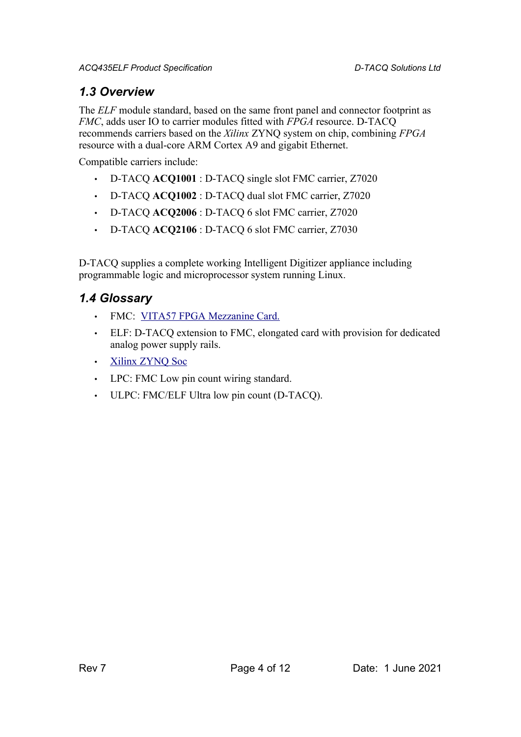#### *1.3 Overview*

The *ELF* module standard, based on the same front panel and connector footprint as *FMC*, adds user IO to carrier modules fitted with *FPGA* resource. D-TACQ recommends carriers based on the *Xilinx* ZYNQ system on chip, combining *FPGA* resource with a dual-core ARM Cortex A9 and gigabit Ethernet.

Compatible carriers include:

- D-TACQ **ACQ1001** : D-TACQ single slot FMC carrier, Z7020
- D-TACQ **ACQ1002** : D-TACQ dual slot FMC carrier, Z7020
- D-TACQ **ACQ2006** : D-TACQ 6 slot FMC carrier, Z7020
- D-TACQ **ACQ2106** : D-TACQ 6 slot FMC carrier, Z7030

D-TACQ supplies a complete working Intelligent Digitizer appliance including programmable logic and microprocessor system running Linux.

#### *1.4 Glossary*

- FMC: [VITA57 FPGA Mezzanine Card.](http://www.vita.com/fmc.html)
- ELF: D-TACQ extension to FMC, elongated card with provision for dedicated analog power supply rails.
- • [Xilinx ZYNQ Soc](http://www.xilinx.com/products/silicon-devices/soc/zynq-7000/index.htm)
- LPC: FMC Low pin count wiring standard.
- ULPC: FMC/ELF Ultra low pin count (D-TACQ).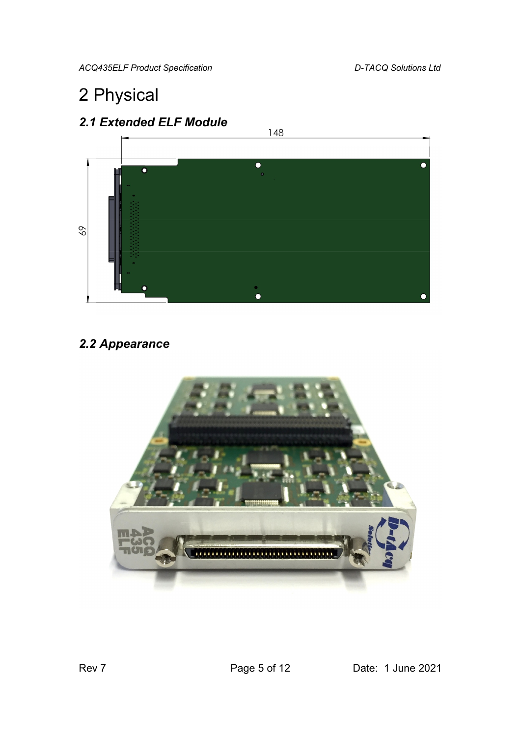*ACQ435ELF Product Specification D-TACQ Solutions Ltd*

## 2 Physical



### *2.2 Appearance*

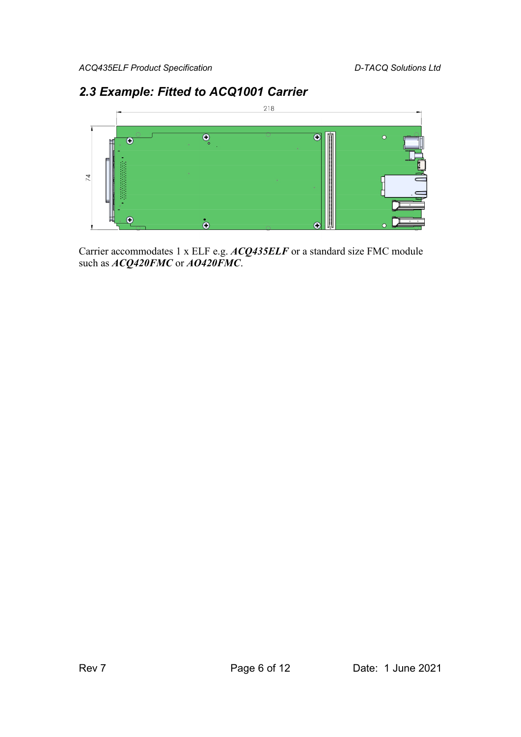#### *2.3 Example: Fitted to ACQ1001 Carrier*



Carrier accommodates 1 x ELF e.g. *ACQ435ELF* or a standard size FMC module such as *ACQ420FMC* or *AO420FMC*.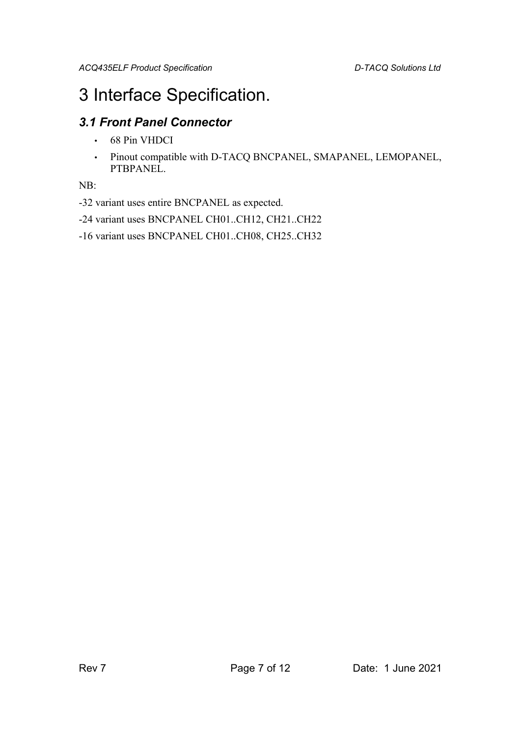### 3 Interface Specification.

#### *3.1 Front Panel Connector*

- 68 Pin VHDCI
- Pinout compatible with D-TACQ BNCPANEL, SMAPANEL, LEMOPANEL, PTBPANEL.

NB:

-32 variant uses entire BNCPANEL as expected.

-24 variant uses BNCPANEL CH01..CH12, CH21..CH22

-16 variant uses BNCPANEL CH01..CH08, CH25..CH32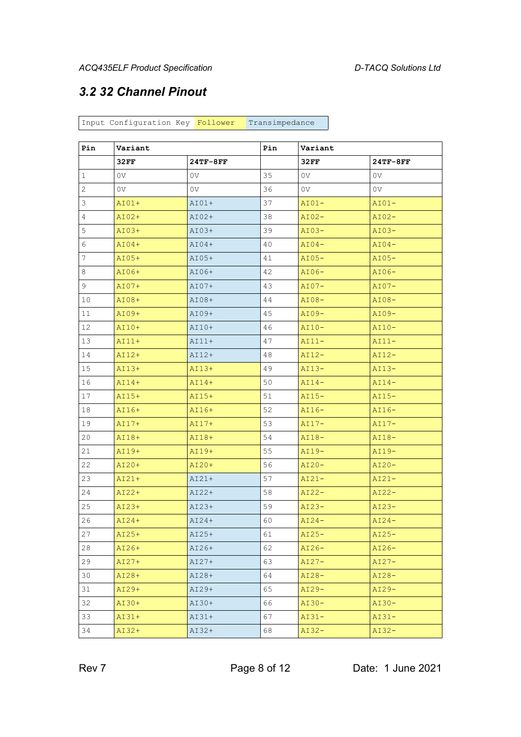#### *3.2 32 Channel Pinout*

Input Configuration Key Follower Transimpedance

| Pin | Variant        |                | Pin | Variant        |                |
|-----|----------------|----------------|-----|----------------|----------------|
|     | 32FF           | $24TF-8FF$     |     | 32FF           | 24TF-8FF       |
| 1   | 0V             | 0V             | 35  | 0V             | 0V             |
| 2   | 0 <sub>V</sub> | 0 <sub>V</sub> | 36  | 0 <sup>V</sup> | 0 <sub>V</sub> |
| 3   | $AIO1+$        | $AIO1+$        | 37  | $AIO1-$        | $AIO1-$        |
| 4   | $AIO2+$        | $AIO2+$        | 38  | $AI02-$        | $AI02-$        |
| 5   | $AIO3+$        | $AIO3+$        | 39  | $AIO3-$        | $AIO3-$        |
| 6   | $AIO4+$        | $AIO4+$        | 40  | $AT04-$        | $AI04-$        |
| 7   | $AI05+$        | $AIO5+$        | 41  | $AI05-$        | $AI05-$        |
| 8   | AI06+          | $AIO6+$        | 42  | $AI06-$        | $AI06-$        |
| 9   | $AIO7+$        | $AIO7+$        | 43  | $AIO7-$        | $AI07-$        |
| 10  | AI08+          | AI08+          | 44  | $AIO8-$        | $AIO8-$        |
| 11  | AI09+          | AI09+          | 45  | $AIO9-$        | $AIO9-$        |
| 12  | $AI10+$        | $AI10+$        | 46  | $AI10-$        | $AI10-$        |
| 13  | $AIII+$        | $AIII+$        | 47  | $AI11-$        | $AI11-$        |
| 14  | $AI12+$        | $AII2+$        | 48  | $AI12-$        | $AI12-$        |
| 15  | AI13+          | AI13+          | 49  | $AI13-$        | $AI13-$        |
| 16  | $AII4+$        | $AII4+$        | 50  | $AT14-$        | $AI14-$        |
| 17  | AI15+          | AI15+          | 51  | $AI15-$        | $AI15-$        |
| 18  | AI16+          | AI16+          | 52  | $AI16-$        | $AI16-$        |
| 19  | $AI17+$        | $AI17+$        | 53  | $AI17-$        | $AI17-$        |
| 20  | AI18+          | AI18+          | 54  | $AI18-$        | $AI18-$        |
| 21  | AI19+          | AI19+          | 55  | $AI19-$        | $AI19-$        |
| 22  | AI20+          | $AI20+$        | 56  | $AI20-$        | $AI20-$        |
| 23  | $AI21+$        | $AI21+$        | 57  | $AI21-$        | $AI21-$        |
| 24  | AI22+          | AI22+          | 58  | $AI22-$        | $AI22-$        |
| 25  | $AIO3+$        | $AI23+$        | 59  | $AI23-$        | $AI23-$        |
| 26  | $AIO4+$        | $AI24+$        | 60  | $AI24-$        | $AI24-$        |
| 27  | $AI25+$        | $AI25+$        | 61  | $AIO5-$        | $AI25-$        |
| 28  | AI26+          | AI26+          | 62  | $AI26-$        | $AI26-$        |
| 29  | $AI27+$        | $AI27+$        | 63  | $AI27-$        | $AIO7-$        |
| 30  | AI28+          | $AI28+$        | 64  | $AI28-$        | $AI28-$        |
| 31  | AI29+          | $AI29+$        | 65  | $AI29-$        | $AI29-$        |
| 32  | AI30+          | $AIO+$         | 66  | $AI30-$        | $AI30-$        |
| 33  | $AI31+$        | $AIO+$         | 67  | $AI31-$        | $AI31-$        |
| 34  | AI32+          | AI32+          | 68  | $AI32-$        | $AI32-$        |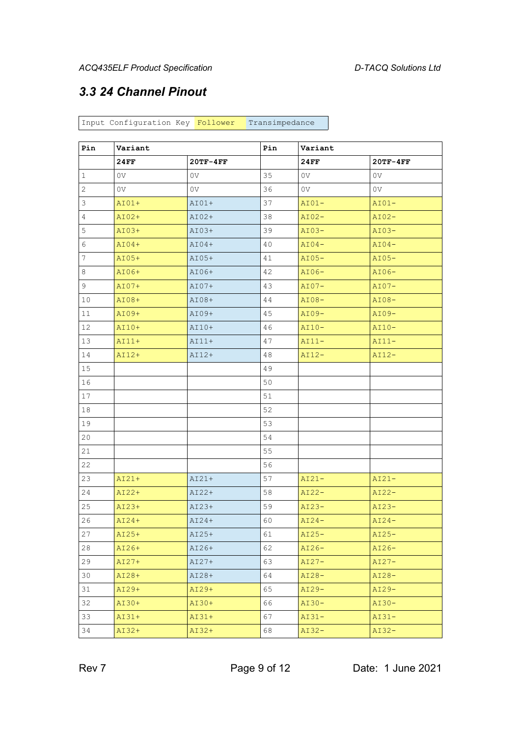#### *3.3 24 Channel Pinout*

Input Configuration Key Follower Transimpedance

| Pin | Variant        |                | Pin | Variant |            |
|-----|----------------|----------------|-----|---------|------------|
|     | 24FF           | $20TF-4FF$     |     | 24FF    | $20TF-4FF$ |
| 1   | 0V             | 0V             | 35  | 0V      | 0V         |
| 2   | 0 <sub>V</sub> | 0 <sub>V</sub> | 36  | 0V      | 0V         |
| 3   | $AIO1+$        | $AIO1+$        | 37  | $AIO1-$ | $AI01-$    |
| 4   | $AIO2+$        | $AIO2+$        | 38  | $AI02-$ | $AI02-$    |
| 5   | $AIO3+$        | $AIO3+$        | 39  | $AIO3-$ | $AIO3-$    |
| 6   | $AIO4+$        | $AIO4+$        | 40  | $AI04-$ | $AI04-$    |
| 7   | $AI05+$        | $AIO5+$        | 41  | $AI05-$ | $AI05-$    |
| 8   | $AIO6+$        | AI06+          | 42  | $AI06-$ | $AI06-$    |
| 9   | $AI07+$        | $AIO7+$        | 43  | $AIO7-$ | $AI07-$    |
| 10  | AI08+          | AI08+          | 44  | $AIO8-$ | $AIO8-$    |
| 11  | AI09+          | $AIO9+$        | 45  | $AIO9-$ | $AI09-$    |
| 12  | $AI10+$        | $AI10+$        | 46  | $AI10-$ | $AI10-$    |
| 13  | $AIII+$        | $AIII+$        | 47  | $AI11-$ | $AIII -$   |
| 14  | $AI12+$        | $AI12+$        | 48  | $AI12-$ | $AI12-$    |
| 15  |                |                | 49  |         |            |
| 16  |                |                | 50  |         |            |
| 17  |                |                | 51  |         |            |
| 18  |                |                | 52  |         |            |
| 19  |                |                | 53  |         |            |
| 20  |                |                | 54  |         |            |
| 21  |                |                | 55  |         |            |
| 22  |                |                | 56  |         |            |
| 23  | $AI21+$        | $AI21+$        | 57  | $AI21-$ | $AI21-$    |
| 24  | AI22+          | $AI22+$        | 58  | $AIO2-$ | $AI22-$    |
| 25  | $AI23+$        | $AI23+$        | 59  | $AI23-$ | $AI23-$    |
| 26  | $AI24+$        | $AI24+$        | 60  | $AI24-$ | $AI24-$    |
| 27  | AI25+          | AI25+          | 61  | $AI25-$ | $AI25-$    |
| 28  | AI26+          | AI26+          | 62  | $AI26-$ | $AI26-$    |
| 29  | $AI27+$        | $AI27+$        | 63  | $AI27-$ | $AI27-$    |
| 30  | AI28+          | AI28+          | 64  | $AI28-$ | $AI28-$    |
| 31  | AI29+          | $AI29+$        | 65  | $AI29-$ | $AI29-$    |
| 32  | AI30+          | AI30+          | 66  | $AI30-$ | $AI30-$    |
| 33  | $AI31+$        | $AI31+$        | 67  | $AI31-$ | $AI31-$    |
| 34  | AI32+          | AI32+          | 68  | $AI32-$ | $AI32-$    |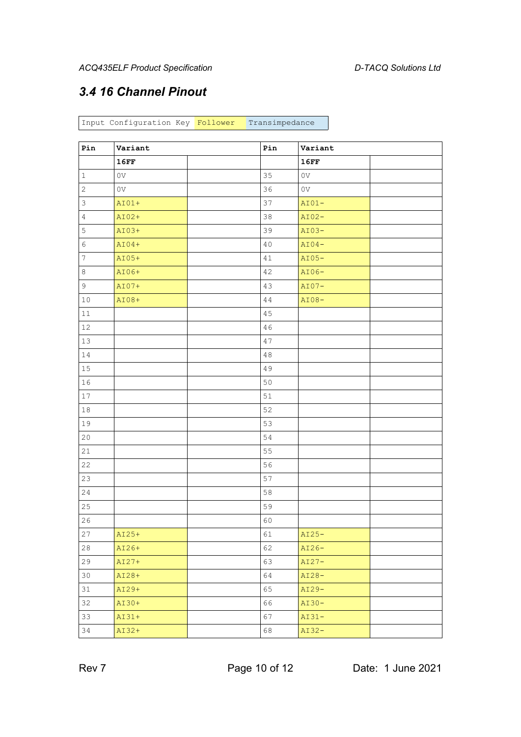#### *3.4 16 Channel Pinout*

Input Configuration Key Follower Transimpedance

| Pin              | Variant        | Pin    | Variant        |  |
|------------------|----------------|--------|----------------|--|
|                  | 16FF           |        | 16FF           |  |
| $\mathbf 1$      | $_{\rm OV}$    | 35     | 0 <sub>V</sub> |  |
| $\overline{c}$   | 0 <sub>V</sub> | 36     | 0 <sub>V</sub> |  |
| 3                | $AIO1+$        | 37     | $AIO1-$        |  |
| $\overline{4}$   | AI02+          | 38     | $AI02-$        |  |
| 5                | $AIO3+$        | 39     | $AIO3-$        |  |
| 6                | $AIO4+$        | 40     | $AIO4-$        |  |
| $\boldsymbol{7}$ | $AI05+$        | $4\,1$ | $AI05-$        |  |
| 8                | AI06+          | 42     | $AI06-$        |  |
| $\mathsf 9$      | AI07+          | 43     | $AIO7-$        |  |
| $1\,0$           | AI08+          | 44     | $AIO8-$        |  |
| $11\,$           |                | $4\,5$ |                |  |
| 12               |                | 46     |                |  |
| 13               |                | 47     |                |  |
| 14               |                | $4\,8$ |                |  |
| 15               |                | 49     |                |  |
| 16               |                | $50\,$ |                |  |
| 17               |                | 51     |                |  |
| $1\,8$           |                | 52     |                |  |
| 19               |                | 53     |                |  |
| $20$             |                | 54     |                |  |
| 21               |                | 55     |                |  |
| 22               |                | 56     |                |  |
| 23               |                | 57     |                |  |
| 24               |                | 58     |                |  |
| 25               |                | 59     |                |  |
| 26               |                | 60     |                |  |
| 27               | AI25+          | 61     | $AI25-$        |  |
| 28               | AI26+          | 62     | $AI26-$        |  |
| 29               | $AI27+$        | 63     | $AI27-$        |  |
| 30               | AI28+          | 64     | $AIO8-$        |  |
| 31               | AI29+          | 65     | $AI29-$        |  |
| 32               | AI30+          | 66     | $AI30-$        |  |
| 33               | $AI31+$        | 67     | $AI31-$        |  |
| 34               | AI32+          | 68     | $AI32-$        |  |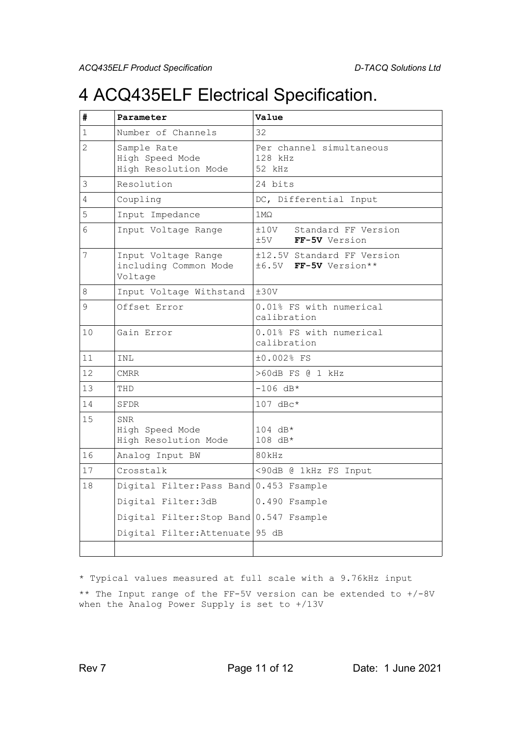### 4 ACQ435ELF Electrical Specification.

| #              | Parameter                                               | Value                                               |  |  |
|----------------|---------------------------------------------------------|-----------------------------------------------------|--|--|
| 1              | Number of Channels                                      | 32                                                  |  |  |
| $\overline{2}$ | Sample Rate<br>High Speed Mode<br>High Resolution Mode  | Per channel simultaneous<br>128 kHz<br>52 kHz       |  |  |
| 3              | Resolution                                              | 24 bits                                             |  |  |
| 4              | Coupling                                                | DC, Differential Input                              |  |  |
| 5              | Input Impedance                                         | $1 \text{M}\Omega$                                  |  |  |
| 6              | Input Voltage Range                                     | ±10V<br>Standard FF Version<br>±5V<br>FF-5V Version |  |  |
| 7              | Input Voltage Range<br>including Common Mode<br>Voltage | ±12.5V Standard FF Version<br>±6.5V FF-5V Version** |  |  |
| 8              | Input Voltage Withstand                                 | ±30V                                                |  |  |
| 9              | Offset Error                                            | 0.01% FS with numerical<br>calibration              |  |  |
| 10             | Gain Error                                              | 0.01% FS with numerical<br>calibration              |  |  |
| 11             | INL                                                     | ±0.002% FS                                          |  |  |
| 12             | <b>CMRR</b>                                             | >60dB FS @ 1 kHz                                    |  |  |
| 13             | THD                                                     | $-106$ dB*                                          |  |  |
| 14             | SFDR                                                    | $107$ dBc*                                          |  |  |
| 15             | SNR<br>High Speed Mode<br>High Resolution Mode          | $104$ dB*<br>108 dB*                                |  |  |
| 16             | Analog Input BW                                         | 80kHz                                               |  |  |
| 17             | Crosstalk                                               | <90dB @ 1kHz FS Input                               |  |  |
| 18             | Digital Filter: Pass Band 0.453 Fsample                 |                                                     |  |  |
|                | Digital Filter: 3dB                                     | 0.490 Fsample                                       |  |  |
|                | Digital Filter: Stop Band 0.547 Fsample                 |                                                     |  |  |
|                | Digital Filter: Attenuate   95 dB                       |                                                     |  |  |
|                |                                                         |                                                     |  |  |

\* Typical values measured at full scale with a 9.76kHz input \*\* The Input range of the FF-5V version can be extended to +/-8V when the Analog Power Supply is set to +/13V